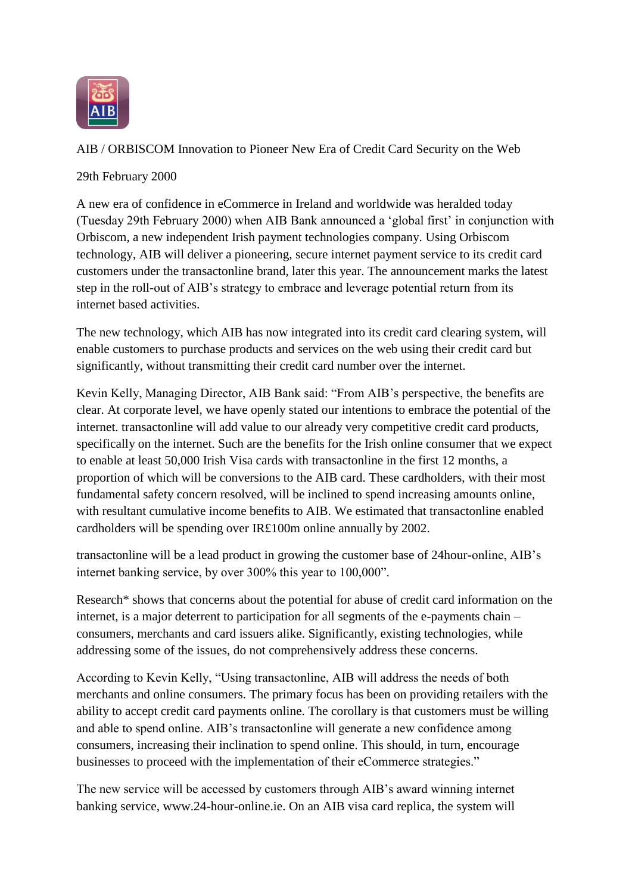

AIB / ORBISCOM Innovation to Pioneer New Era of Credit Card Security on the Web

29th February 2000

A new era of confidence in eCommerce in Ireland and worldwide was heralded today (Tuesday 29th February 2000) when AIB Bank announced a "global first" in conjunction with Orbiscom, a new independent Irish payment technologies company. Using Orbiscom technology, AIB will deliver a pioneering, secure internet payment service to its credit card customers under the transactonline brand, later this year. The announcement marks the latest step in the roll-out of AIB"s strategy to embrace and leverage potential return from its internet based activities.

The new technology, which AIB has now integrated into its credit card clearing system, will enable customers to purchase products and services on the web using their credit card but significantly, without transmitting their credit card number over the internet.

Kevin Kelly, Managing Director, AIB Bank said: "From AIB"s perspective, the benefits are clear. At corporate level, we have openly stated our intentions to embrace the potential of the internet. transactonline will add value to our already very competitive credit card products, specifically on the internet. Such are the benefits for the Irish online consumer that we expect to enable at least 50,000 Irish Visa cards with transactonline in the first 12 months, a proportion of which will be conversions to the AIB card. These cardholders, with their most fundamental safety concern resolved, will be inclined to spend increasing amounts online, with resultant cumulative income benefits to AIB. We estimated that transactonline enabled cardholders will be spending over IR£100m online annually by 2002.

transactonline will be a lead product in growing the customer base of 24hour-online, AIB"s internet banking service, by over 300% this year to 100,000".

Research\* shows that concerns about the potential for abuse of credit card information on the internet, is a major deterrent to participation for all segments of the e-payments chain – consumers, merchants and card issuers alike. Significantly, existing technologies, while addressing some of the issues, do not comprehensively address these concerns.

According to Kevin Kelly, "Using transactonline, AIB will address the needs of both merchants and online consumers. The primary focus has been on providing retailers with the ability to accept credit card payments online. The corollary is that customers must be willing and able to spend online. AIB"s transactonline will generate a new confidence among consumers, increasing their inclination to spend online. This should, in turn, encourage businesses to proceed with the implementation of their eCommerce strategies."

The new service will be accessed by customers through AIB"s award winning internet banking service, www.24-hour-online.ie. On an AIB visa card replica, the system will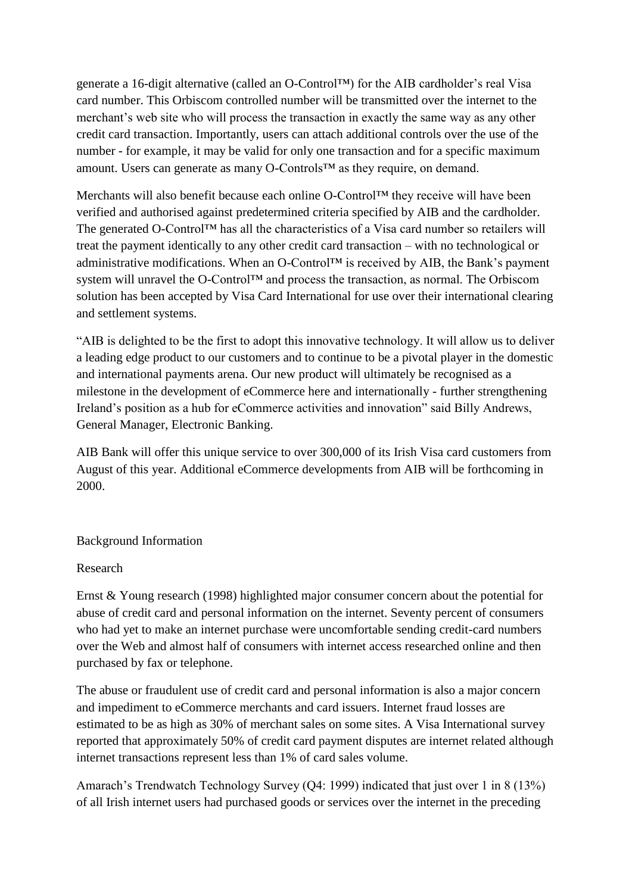generate a 16-digit alternative (called an O-Control™) for the AIB cardholder"s real Visa card number. This Orbiscom controlled number will be transmitted over the internet to the merchant's web site who will process the transaction in exactly the same way as any other credit card transaction. Importantly, users can attach additional controls over the use of the number - for example, it may be valid for only one transaction and for a specific maximum amount. Users can generate as many O-Controls™ as they require, on demand.

Merchants will also benefit because each online O-Control™ they receive will have been verified and authorised against predetermined criteria specified by AIB and the cardholder. The generated O-Control™ has all the characteristics of a Visa card number so retailers will treat the payment identically to any other credit card transaction – with no technological or administrative modifications. When an O-Control™ is received by AIB, the Bank"s payment system will unravel the O-Control™ and process the transaction, as normal. The Orbiscom solution has been accepted by Visa Card International for use over their international clearing and settlement systems.

"AIB is delighted to be the first to adopt this innovative technology. It will allow us to deliver a leading edge product to our customers and to continue to be a pivotal player in the domestic and international payments arena. Our new product will ultimately be recognised as a milestone in the development of eCommerce here and internationally - further strengthening Ireland"s position as a hub for eCommerce activities and innovation" said Billy Andrews, General Manager, Electronic Banking.

AIB Bank will offer this unique service to over 300,000 of its Irish Visa card customers from August of this year. Additional eCommerce developments from AIB will be forthcoming in 2000.

## Background Information

## Research

Ernst & Young research (1998) highlighted major consumer concern about the potential for abuse of credit card and personal information on the internet. Seventy percent of consumers who had yet to make an internet purchase were uncomfortable sending credit-card numbers over the Web and almost half of consumers with internet access researched online and then purchased by fax or telephone.

The abuse or fraudulent use of credit card and personal information is also a major concern and impediment to eCommerce merchants and card issuers. Internet fraud losses are estimated to be as high as 30% of merchant sales on some sites. A Visa International survey reported that approximately 50% of credit card payment disputes are internet related although internet transactions represent less than 1% of card sales volume.

Amarach"s Trendwatch Technology Survey (Q4: 1999) indicated that just over 1 in 8 (13%) of all Irish internet users had purchased goods or services over the internet in the preceding